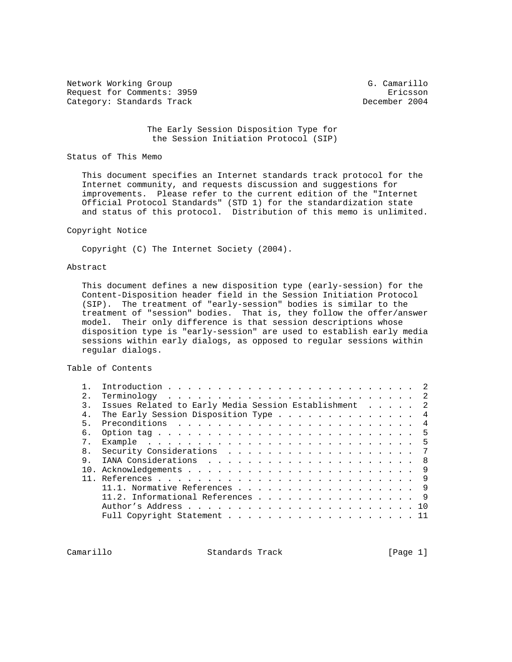Network Working Group G. Camarillo Request for Comments: 3959 Ericsson Category: Standards Track

 The Early Session Disposition Type for the Session Initiation Protocol (SIP)

### Status of This Memo

 This document specifies an Internet standards track protocol for the Internet community, and requests discussion and suggestions for improvements. Please refer to the current edition of the "Internet Official Protocol Standards" (STD 1) for the standardization state and status of this protocol. Distribution of this memo is unlimited.

# Copyright Notice

Copyright (C) The Internet Society (2004).

#### Abstract

 This document defines a new disposition type (early-session) for the Content-Disposition header field in the Session Initiation Protocol (SIP). The treatment of "early-session" bodies is similar to the treatment of "session" bodies. That is, they follow the offer/answer model. Their only difference is that session descriptions whose disposition type is "early-session" are used to establish early media sessions within early dialogs, as opposed to regular sessions within regular dialogs.

### Table of Contents

| $2^{\circ}$    |                                                     |     |
|----------------|-----------------------------------------------------|-----|
| 3              | Issues Related to Early Media Session Establishment | 2   |
| 4 <sub>1</sub> | The Early Session Disposition Type                  | 4   |
| 5.             |                                                     |     |
| б.             |                                                     |     |
|                |                                                     |     |
| 8 <sub>1</sub> | Security Considerations 7                           |     |
| 9              |                                                     |     |
|                |                                                     | -9  |
|                |                                                     |     |
|                | 11.1. Normative References 9                        |     |
|                | 11.2. Informational References 9                    |     |
|                |                                                     | 1 O |
|                |                                                     |     |
|                |                                                     |     |

Camarillo Standards Track [Page 1]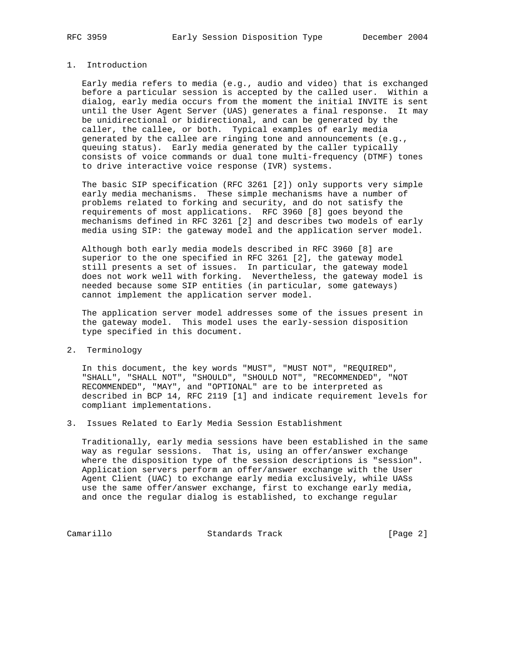## 1. Introduction

 Early media refers to media (e.g., audio and video) that is exchanged before a particular session is accepted by the called user. Within a dialog, early media occurs from the moment the initial INVITE is sent until the User Agent Server (UAS) generates a final response. It may be unidirectional or bidirectional, and can be generated by the caller, the callee, or both. Typical examples of early media generated by the callee are ringing tone and announcements (e.g., queuing status). Early media generated by the caller typically consists of voice commands or dual tone multi-frequency (DTMF) tones to drive interactive voice response (IVR) systems.

 The basic SIP specification (RFC 3261 [2]) only supports very simple early media mechanisms. These simple mechanisms have a number of problems related to forking and security, and do not satisfy the requirements of most applications. RFC 3960 [8] goes beyond the mechanisms defined in RFC 3261 [2] and describes two models of early media using SIP: the gateway model and the application server model.

 Although both early media models described in RFC 3960 [8] are superior to the one specified in RFC 3261 [2], the gateway model still presents a set of issues. In particular, the gateway model does not work well with forking. Nevertheless, the gateway model is needed because some SIP entities (in particular, some gateways) cannot implement the application server model.

 The application server model addresses some of the issues present in the gateway model. This model uses the early-session disposition type specified in this document.

2. Terminology

 In this document, the key words "MUST", "MUST NOT", "REQUIRED", "SHALL", "SHALL NOT", "SHOULD", "SHOULD NOT", "RECOMMENDED", "NOT RECOMMENDED", "MAY", and "OPTIONAL" are to be interpreted as described in BCP 14, RFC 2119 [1] and indicate requirement levels for compliant implementations.

3. Issues Related to Early Media Session Establishment

 Traditionally, early media sessions have been established in the same way as regular sessions. That is, using an offer/answer exchange where the disposition type of the session descriptions is "session". Application servers perform an offer/answer exchange with the User Agent Client (UAC) to exchange early media exclusively, while UASs use the same offer/answer exchange, first to exchange early media, and once the regular dialog is established, to exchange regular

Camarillo Standards Track [Page 2]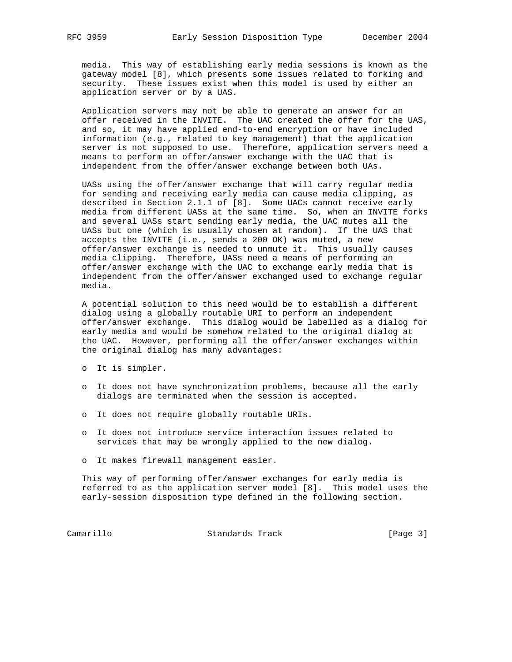media. This way of establishing early media sessions is known as the gateway model [8], which presents some issues related to forking and security. These issues exist when this model is used by either an application server or by a UAS.

 Application servers may not be able to generate an answer for an offer received in the INVITE. The UAC created the offer for the UAS, and so, it may have applied end-to-end encryption or have included information (e.g., related to key management) that the application server is not supposed to use. Therefore, application servers need a means to perform an offer/answer exchange with the UAC that is independent from the offer/answer exchange between both UAs.

 UASs using the offer/answer exchange that will carry regular media for sending and receiving early media can cause media clipping, as described in Section 2.1.1 of [8]. Some UACs cannot receive early media from different UASs at the same time. So, when an INVITE forks and several UASs start sending early media, the UAC mutes all the UASs but one (which is usually chosen at random). If the UAS that accepts the INVITE (i.e., sends a 200 OK) was muted, a new offer/answer exchange is needed to unmute it. This usually causes media clipping. Therefore, UASs need a means of performing an offer/answer exchange with the UAC to exchange early media that is independent from the offer/answer exchanged used to exchange regular media.

 A potential solution to this need would be to establish a different dialog using a globally routable URI to perform an independent offer/answer exchange. This dialog would be labelled as a dialog for early media and would be somehow related to the original dialog at the UAC. However, performing all the offer/answer exchanges within the original dialog has many advantages:

- o It is simpler.
- o It does not have synchronization problems, because all the early dialogs are terminated when the session is accepted.
- o It does not require globally routable URIs.
- o It does not introduce service interaction issues related to services that may be wrongly applied to the new dialog.
- o It makes firewall management easier.

 This way of performing offer/answer exchanges for early media is referred to as the application server model [8]. This model uses the early-session disposition type defined in the following section.

Camarillo Standards Track [Page 3]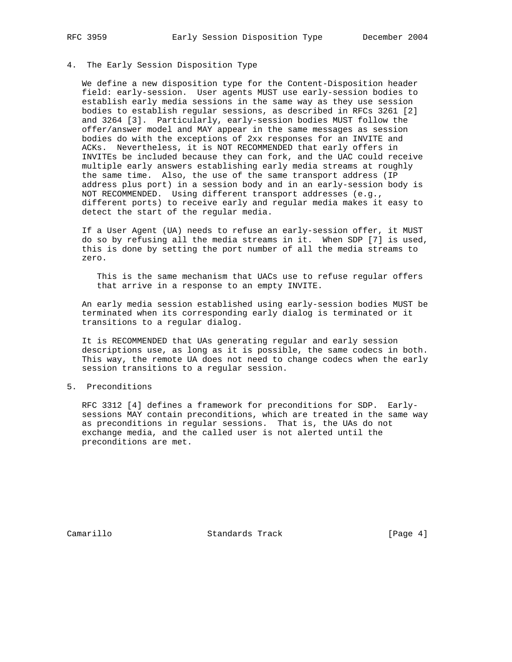#### 4. The Early Session Disposition Type

 We define a new disposition type for the Content-Disposition header field: early-session. User agents MUST use early-session bodies to establish early media sessions in the same way as they use session bodies to establish regular sessions, as described in RFCs 3261 [2] and 3264 [3]. Particularly, early-session bodies MUST follow the offer/answer model and MAY appear in the same messages as session bodies do with the exceptions of 2xx responses for an INVITE and ACKs. Nevertheless, it is NOT RECOMMENDED that early offers in INVITEs be included because they can fork, and the UAC could receive multiple early answers establishing early media streams at roughly the same time. Also, the use of the same transport address (IP address plus port) in a session body and in an early-session body is NOT RECOMMENDED. Using different transport addresses (e.g., different ports) to receive early and regular media makes it easy to detect the start of the regular media.

 If a User Agent (UA) needs to refuse an early-session offer, it MUST do so by refusing all the media streams in it. When SDP [7] is used, this is done by setting the port number of all the media streams to zero.

 This is the same mechanism that UACs use to refuse regular offers that arrive in a response to an empty INVITE.

 An early media session established using early-session bodies MUST be terminated when its corresponding early dialog is terminated or it transitions to a regular dialog.

 It is RECOMMENDED that UAs generating regular and early session descriptions use, as long as it is possible, the same codecs in both. This way, the remote UA does not need to change codecs when the early session transitions to a regular session.

### 5. Preconditions

 RFC 3312 [4] defines a framework for preconditions for SDP. Early sessions MAY contain preconditions, which are treated in the same way as preconditions in regular sessions. That is, the UAs do not exchange media, and the called user is not alerted until the preconditions are met.

Camarillo Standards Track [Page 4]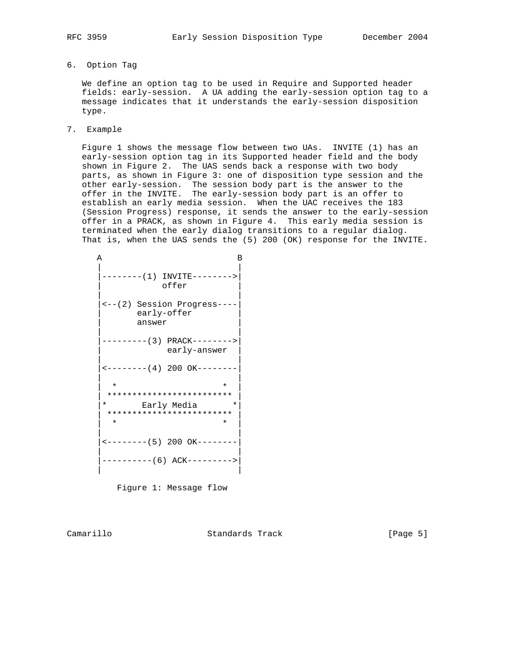- 
- 6. Option Tag

 We define an option tag to be used in Require and Supported header fields: early-session. A UA adding the early-session option tag to a message indicates that it understands the early-session disposition type.

7. Example

 Figure 1 shows the message flow between two UAs. INVITE (1) has an early-session option tag in its Supported header field and the body shown in Figure 2. The UAS sends back a response with two body parts, as shown in Figure 3: one of disposition type session and the other early-session. The session body part is the answer to the offer in the INVITE. The early-session body part is an offer to establish an early media session. When the UAC receives the 183 (Session Progress) response, it sends the answer to the early-session offer in a PRACK, as shown in Figure 4. This early media session is terminated when the early dialog transitions to a regular dialog. That is, when the UAS sends the (5) 200 (OK) response for the INVITE.

| А       |                                             | в |
|---------|---------------------------------------------|---|
|         | --------(1) INVITE--------><br>offer        |   |
| answer  | <-- (2) Session Progress----<br>early-offer |   |
|         | early-answer                                |   |
|         |                                             |   |
| $\star$ | $\star$                                     |   |
|         | *************************                   |   |
| $\star$ | Early Media<br>$^\star$                     |   |
| $\star$ | *************************<br>*              |   |
|         | $\leftarrow$ -------- (5) 200 OK--------    |   |
|         | ----------(6) ACK--------->                 |   |

Figure 1: Message flow

Camarillo Standards Track [Page 5]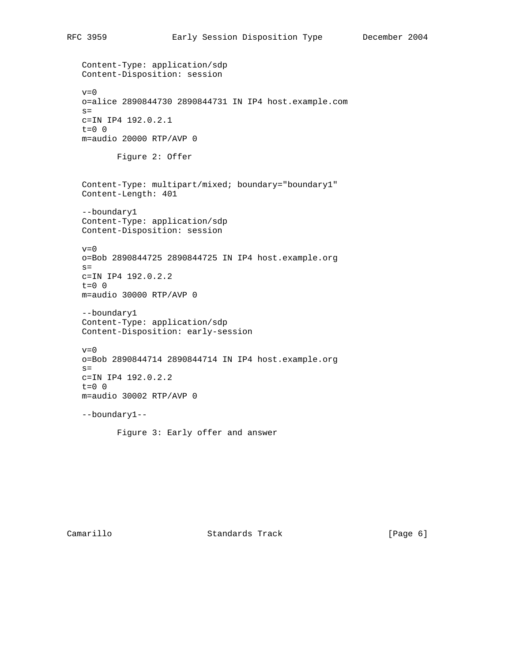Content-Type: application/sdp Content-Disposition: session  $v=0$  o=alice 2890844730 2890844731 IN IP4 host.example.com  $s=$  c=IN IP4 192.0.2.1 t=0 0 m=audio 20000 RTP/AVP 0 Figure 2: Offer Content-Type: multipart/mixed; boundary="boundary1" Content-Length: 401 --boundary1 Content-Type: application/sdp Content-Disposition: session  $v=0$  o=Bob 2890844725 2890844725 IN IP4 host.example.org  $s=$  c=IN IP4 192.0.2.2  $t=0$  0 m=audio 30000 RTP/AVP 0 --boundary1 Content-Type: application/sdp Content-Disposition: early-session  $v=0$  o=Bob 2890844714 2890844714 IN IP4 host.example.org  $s=$  c=IN IP4 192.0.2.2  $t=0$  0 m=audio 30002 RTP/AVP 0 --boundary1--

Figure 3: Early offer and answer

Camarillo Standards Track [Page 6]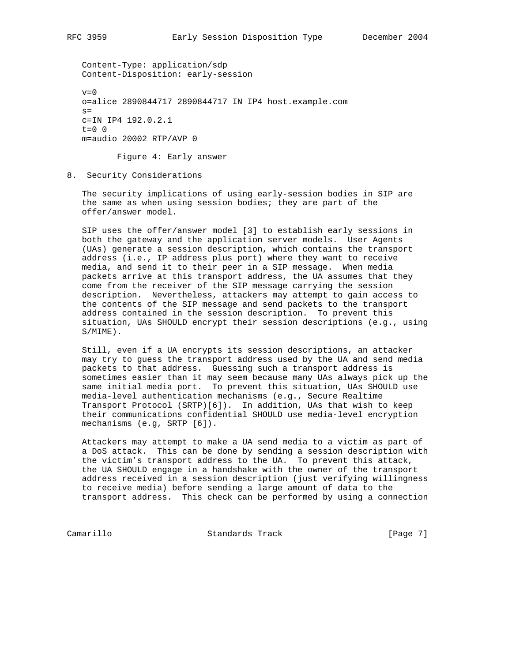Content-Type: application/sdp Content-Disposition: early-session

 $v=0$  o=alice 2890844717 2890844717 IN IP4 host.example.com  $s=$  c=IN IP4 192.0.2.1  $t=0$  0 m=audio 20002 RTP/AVP 0

Figure 4: Early answer

8. Security Considerations

 The security implications of using early-session bodies in SIP are the same as when using session bodies; they are part of the offer/answer model.

 SIP uses the offer/answer model [3] to establish early sessions in both the gateway and the application server models. User Agents (UAs) generate a session description, which contains the transport address (i.e., IP address plus port) where they want to receive media, and send it to their peer in a SIP message. When media packets arrive at this transport address, the UA assumes that they come from the receiver of the SIP message carrying the session description. Nevertheless, attackers may attempt to gain access to the contents of the SIP message and send packets to the transport address contained in the session description. To prevent this situation, UAs SHOULD encrypt their session descriptions (e.g., using S/MIME).

 Still, even if a UA encrypts its session descriptions, an attacker may try to guess the transport address used by the UA and send media packets to that address. Guessing such a transport address is sometimes easier than it may seem because many UAs always pick up the same initial media port. To prevent this situation, UAs SHOULD use media-level authentication mechanisms (e.g., Secure Realtime Transport Protocol (SRTP)[6]). In addition, UAs that wish to keep their communications confidential SHOULD use media-level encryption mechanisms (e.g, SRTP [6]).

 Attackers may attempt to make a UA send media to a victim as part of a DoS attack. This can be done by sending a session description with the victim's transport address to the UA. To prevent this attack, the UA SHOULD engage in a handshake with the owner of the transport address received in a session description (just verifying willingness to receive media) before sending a large amount of data to the transport address. This check can be performed by using a connection

Camarillo Standards Track [Page 7]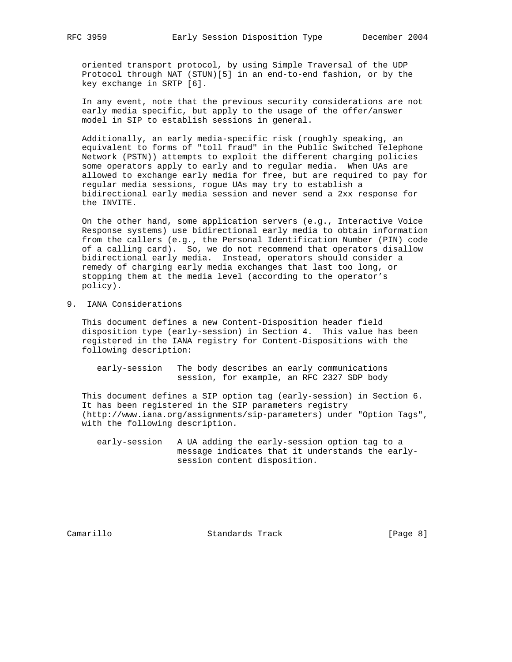oriented transport protocol, by using Simple Traversal of the UDP Protocol through NAT (STUN)[5] in an end-to-end fashion, or by the key exchange in SRTP [6].

 In any event, note that the previous security considerations are not early media specific, but apply to the usage of the offer/answer model in SIP to establish sessions in general.

 Additionally, an early media-specific risk (roughly speaking, an equivalent to forms of "toll fraud" in the Public Switched Telephone Network (PSTN)) attempts to exploit the different charging policies some operators apply to early and to regular media. When UAs are allowed to exchange early media for free, but are required to pay for regular media sessions, rogue UAs may try to establish a bidirectional early media session and never send a 2xx response for the INVITE.

 On the other hand, some application servers (e.g., Interactive Voice Response systems) use bidirectional early media to obtain information from the callers (e.g., the Personal Identification Number (PIN) code of a calling card). So, we do not recommend that operators disallow bidirectional early media. Instead, operators should consider a remedy of charging early media exchanges that last too long, or stopping them at the media level (according to the operator's policy).

9. IANA Considerations

 This document defines a new Content-Disposition header field disposition type (early-session) in Section 4. This value has been registered in the IANA registry for Content-Dispositions with the following description:

 early-session The body describes an early communications session, for example, an RFC 2327 SDP body

 This document defines a SIP option tag (early-session) in Section 6. It has been registered in the SIP parameters registry (http://www.iana.org/assignments/sip-parameters) under "Option Tags", with the following description.

 early-session A UA adding the early-session option tag to a message indicates that it understands the early session content disposition.

Camarillo Standards Track [Page 8]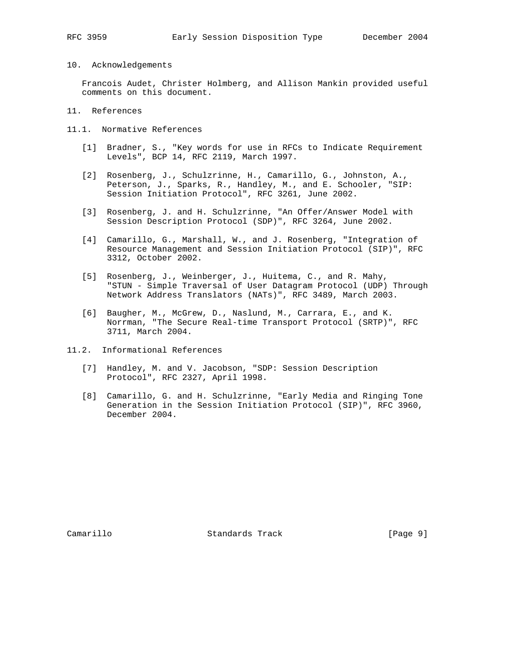- 
- 10. Acknowledgements

 Francois Audet, Christer Holmberg, and Allison Mankin provided useful comments on this document.

- 11. References
- 11.1. Normative References
	- [1] Bradner, S., "Key words for use in RFCs to Indicate Requirement Levels", BCP 14, RFC 2119, March 1997.
	- [2] Rosenberg, J., Schulzrinne, H., Camarillo, G., Johnston, A., Peterson, J., Sparks, R., Handley, M., and E. Schooler, "SIP: Session Initiation Protocol", RFC 3261, June 2002.
	- [3] Rosenberg, J. and H. Schulzrinne, "An Offer/Answer Model with Session Description Protocol (SDP)", RFC 3264, June 2002.
	- [4] Camarillo, G., Marshall, W., and J. Rosenberg, "Integration of Resource Management and Session Initiation Protocol (SIP)", RFC 3312, October 2002.
	- [5] Rosenberg, J., Weinberger, J., Huitema, C., and R. Mahy, "STUN - Simple Traversal of User Datagram Protocol (UDP) Through Network Address Translators (NATs)", RFC 3489, March 2003.
	- [6] Baugher, M., McGrew, D., Naslund, M., Carrara, E., and K. Norrman, "The Secure Real-time Transport Protocol (SRTP)", RFC 3711, March 2004.
- 11.2. Informational References
	- [7] Handley, M. and V. Jacobson, "SDP: Session Description Protocol", RFC 2327, April 1998.
	- [8] Camarillo, G. and H. Schulzrinne, "Early Media and Ringing Tone Generation in the Session Initiation Protocol (SIP)", RFC 3960, December 2004.

Camarillo Standards Track [Page 9]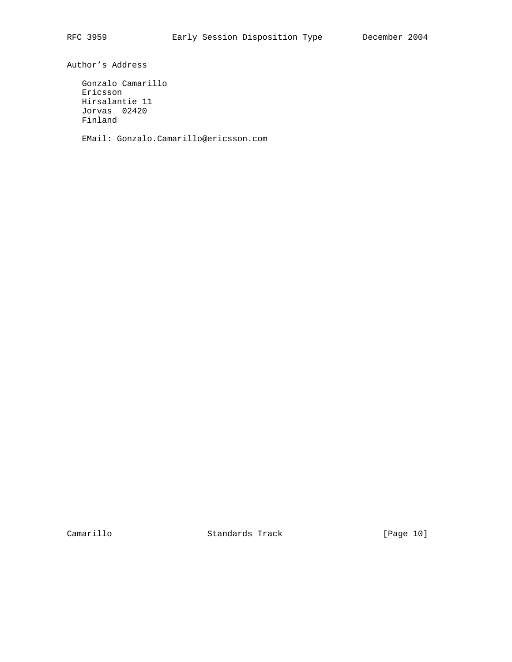Author's Address

 Gonzalo Camarillo Ericsson Hirsalantie 11 Jorvas 02420 Finland

EMail: Gonzalo.Camarillo@ericsson.com

Camarillo Standards Track [Page 10]